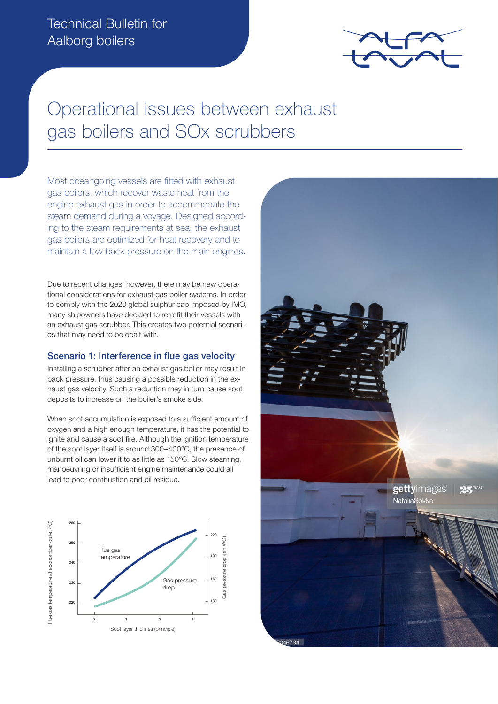

# Operational issues between exhaust gas boilers and SOx scrubbers

Most oceangoing vessels are fitted with exhaust gas boilers, which recover waste heat from the engine exhaust gas in order to accommodate the steam demand during a voyage. Designed according to the steam requirements at sea, the exhaust gas boilers are optimized for heat recovery and to maintain a low back pressure on the main engines.

Due to recent changes, however, there may be new operational considerations for exhaust gas boiler systems. In order to comply with the 2020 global sulphur cap imposed by IMO, many shipowners have decided to retrofit their vessels with an exhaust gas scrubber. This creates two potential scenarios that may need to be dealt with.

## Scenario 1: Interference in flue gas velocity

Installing a scrubber after an exhaust gas boiler may result in back pressure, thus causing a possible reduction in the exhaust gas velocity. Such a reduction may in turn cause soot deposits to increase on the boiler's smoke side.

When soot accumulation is exposed to a sufficient amount of oxygen and a high enough temperature, it has the potential to ignite and cause a soot fire. Although the ignition temperature of the soot layer itself is around 300–400°C, the presence of unburnt oil can lower it to as little as 150°C. Slow steaming, manoeuvring or insufficient engine maintenance could all lead to poor combustion and oil residue.